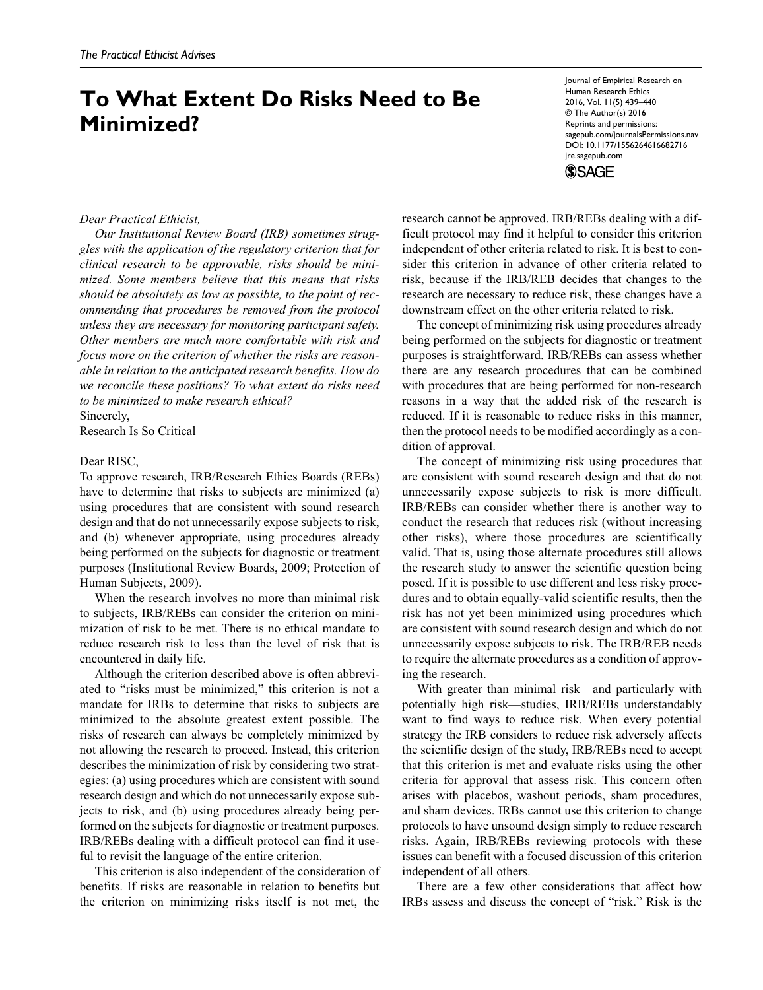# **To What Extent Do Risks Need to Be Minimized?**

Journal of Empirical Research on Human Research Ethics 2016, Vol. 11(5) 439–440 © The Author(s) 2016 Reprints and permissions: sagepub.com/journalsPermissions.nav DOI: 10.1177/1556264616682716 jre.sagepub.com **SSAGE** 

## *Dear Practical Ethicist,*

*Our Institutional Review Board (IRB) sometimes struggles with the application of the regulatory criterion that for clinical research to be approvable, risks should be minimized. Some members believe that this means that risks should be absolutely as low as possible, to the point of recommending that procedures be removed from the protocol unless they are necessary for monitoring participant safety. Other members are much more comfortable with risk and focus more on the criterion of whether the risks are reasonable in relation to the anticipated research benefits. How do we reconcile these positions? To what extent do risks need to be minimized to make research ethical?*

Sincerely, Research Is So Critical

# Dear RISC,

To approve research, IRB/Research Ethics Boards (REBs) have to determine that risks to subjects are minimized (a) using procedures that are consistent with sound research design and that do not unnecessarily expose subjects to risk, and (b) whenever appropriate, using procedures already being performed on the subjects for diagnostic or treatment purposes (Institutional Review Boards, 2009; Protection of Human Subjects, 2009).

When the research involves no more than minimal risk to subjects, IRB/REBs can consider the criterion on minimization of risk to be met. There is no ethical mandate to reduce research risk to less than the level of risk that is encountered in daily life.

Although the criterion described above is often abbreviated to "risks must be minimized," this criterion is not a mandate for IRBs to determine that risks to subjects are minimized to the absolute greatest extent possible. The risks of research can always be completely minimized by not allowing the research to proceed. Instead, this criterion describes the minimization of risk by considering two strategies: (a) using procedures which are consistent with sound research design and which do not unnecessarily expose subjects to risk, and (b) using procedures already being performed on the subjects for diagnostic or treatment purposes. IRB/REBs dealing with a difficult protocol can find it useful to revisit the language of the entire criterion.

This criterion is also independent of the consideration of benefits. If risks are reasonable in relation to benefits but the criterion on minimizing risks itself is not met, the

research cannot be approved. IRB/REBs dealing with a difficult protocol may find it helpful to consider this criterion independent of other criteria related to risk. It is best to consider this criterion in advance of other criteria related to risk, because if the IRB/REB decides that changes to the research are necessary to reduce risk, these changes have a downstream effect on the other criteria related to risk.

The concept of minimizing risk using procedures already being performed on the subjects for diagnostic or treatment purposes is straightforward. IRB/REBs can assess whether there are any research procedures that can be combined with procedures that are being performed for non-research reasons in a way that the added risk of the research is reduced. If it is reasonable to reduce risks in this manner, then the protocol needs to be modified accordingly as a condition of approval.

The concept of minimizing risk using procedures that are consistent with sound research design and that do not unnecessarily expose subjects to risk is more difficult. IRB/REBs can consider whether there is another way to conduct the research that reduces risk (without increasing other risks), where those procedures are scientifically valid. That is, using those alternate procedures still allows the research study to answer the scientific question being posed. If it is possible to use different and less risky procedures and to obtain equally-valid scientific results, then the risk has not yet been minimized using procedures which are consistent with sound research design and which do not unnecessarily expose subjects to risk. The IRB/REB needs to require the alternate procedures as a condition of approving the research.

With greater than minimal risk—and particularly with potentially high risk—studies, IRB/REBs understandably want to find ways to reduce risk. When every potential strategy the IRB considers to reduce risk adversely affects the scientific design of the study, IRB/REBs need to accept that this criterion is met and evaluate risks using the other criteria for approval that assess risk. This concern often arises with placebos, washout periods, sham procedures, and sham devices. IRBs cannot use this criterion to change protocols to have unsound design simply to reduce research risks. Again, IRB/REBs reviewing protocols with these issues can benefit with a focused discussion of this criterion independent of all others.

There are a few other considerations that affect how IRBs assess and discuss the concept of "risk." Risk is the